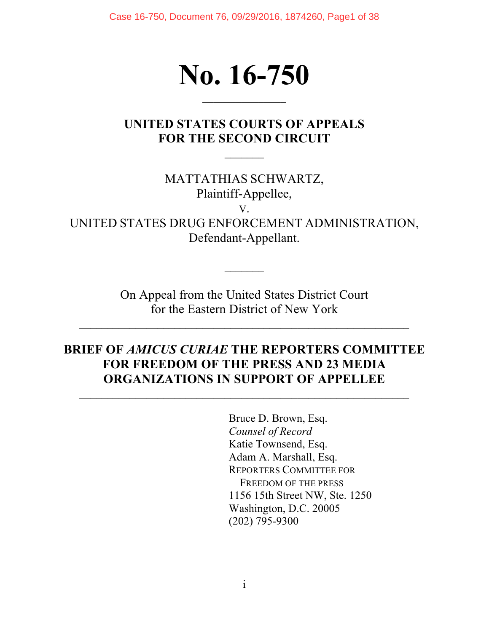Case 16-750, Document 76, 09/29/2016, 1874260, Page1 of 38

# **No. 16-750**

**\_\_\_\_\_\_\_\_\_\_\_\_\_\_\_**

## **UNITED STATES COURTS OF APPEALS FOR THE SECOND CIRCUIT**

 $\frac{1}{2}$ 

MATTATHIAS SCHWARTZ, Plaintiff-Appellee, V.

UNITED STATES DRUG ENFORCEMENT ADMINISTRATION, Defendant-Appellant.

> On Appeal from the United States District Court for the Eastern District of New York

## **BRIEF OF** *AMICUS CURIAE* **THE REPORTERS COMMITTEE FOR FREEDOM OF THE PRESS AND 23 MEDIA ORGANIZATIONS IN SUPPORT OF APPELLEE**

 $\mathcal{L}_\text{max}$  , and the contract of the contract of the contract of the contract of the contract of the contract of the contract of the contract of the contract of the contract of the contract of the contract of the contr

Bruce D. Brown, Esq. *Counsel of Record* Katie Townsend, Esq. Adam A. Marshall, Esq. REPORTERS COMMITTEE FOR FREEDOM OF THE PRESS 1156 15th Street NW, Ste. 1250 Washington, D.C. 20005 (202) 795-9300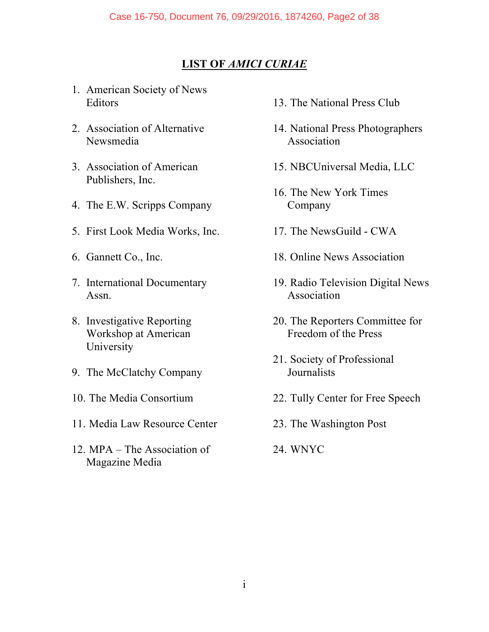## **LIST OF** *AMICI CURIAE*

- 1. American Society of News Editors
- 2. Association of Alternative Newsmedia
- 3. Association of American Publishers, Inc.
- 4. The E.W. Scripps Company
- 5. First Look Media Works, Inc.
- 6. Gannett Co., Inc.
- 7. International Documentary Assn.
- 8. Investigative Reporting Workshop at American University
- 9. The McClatchy Company
- 10. The Media Consortium
- 11. Media Law Resource Center
- 12. MPA The Association of Magazine Media
- 13. The National Press Club
- 14. National Press Photographers Association
- 15. NBCUniversal Media, LLC
- 16. The New York Times Company
- 17. The NewsGuild CWA
- 18. Online News Association
- 19. Radio Television Digital News Association
- 20. The Reporters Committee for Freedom of the Press
- 21. Society of Professional **Journalists**
- 22. Tully Center for Free Speech
- 23. The Washington Post
- 24. WNYC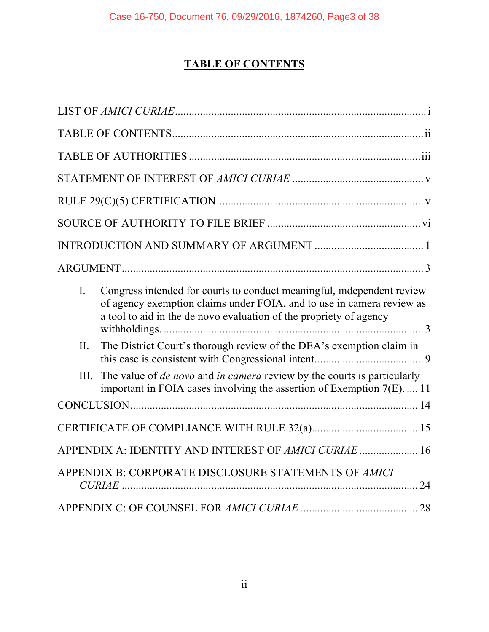# **TABLE OF CONTENTS**

| $\mathbf{I}$ . | Congress intended for courts to conduct meaningful, independent review<br>of agency exemption claims under FOIA, and to use in camera review as<br>a tool to aid in the de novo evaluation of the propriety of agency |  |
|----------------|-----------------------------------------------------------------------------------------------------------------------------------------------------------------------------------------------------------------------|--|
| II.            | The District Court's thorough review of the DEA's exemption claim in                                                                                                                                                  |  |
| III.           | The value of <i>de novo</i> and <i>in camera</i> review by the courts is particularly<br>important in FOIA cases involving the assertion of Exemption $7(E)$ 11                                                       |  |
|                |                                                                                                                                                                                                                       |  |
|                |                                                                                                                                                                                                                       |  |
|                | APPENDIX A: IDENTITY AND INTEREST OF AMICI CURIAE  16                                                                                                                                                                 |  |
|                | APPENDIX B: CORPORATE DISCLOSURE STATEMENTS OF AMICI                                                                                                                                                                  |  |
|                |                                                                                                                                                                                                                       |  |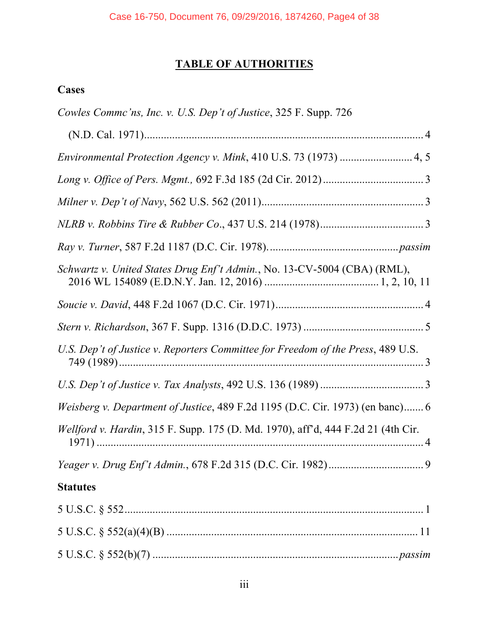# **TABLE OF AUTHORITIES**

## **Cases**

| Cowles Commc'ns, Inc. v. U.S. Dep't of Justice, 325 F. Supp. 726                 |
|----------------------------------------------------------------------------------|
|                                                                                  |
| Environmental Protection Agency v. Mink, 410 U.S. 73 (1973)  4, 5                |
|                                                                                  |
|                                                                                  |
|                                                                                  |
|                                                                                  |
| Schwartz v. United States Drug Enf't Admin., No. 13-CV-5004 (CBA) (RML),         |
|                                                                                  |
|                                                                                  |
| U.S. Dep't of Justice v. Reporters Committee for Freedom of the Press, 489 U.S.  |
|                                                                                  |
| Weisberg v. Department of Justice, 489 F.2d 1195 (D.C. Cir. 1973) (en banc) 6    |
| Wellford v. Hardin, 315 F. Supp. 175 (D. Md. 1970), aff'd, 444 F.2d 21 (4th Cir. |
|                                                                                  |
| <b>Statutes</b>                                                                  |
|                                                                                  |
|                                                                                  |
|                                                                                  |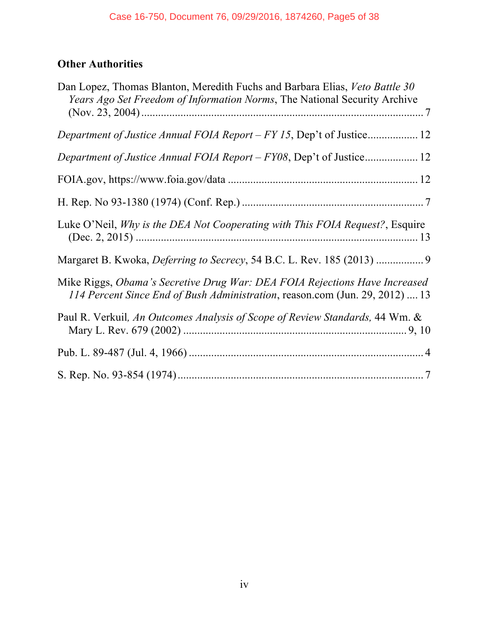## **Other Authorities**

| Dan Lopez, Thomas Blanton, Meredith Fuchs and Barbara Elias, Veto Battle 30<br>Years Ago Set Freedom of Information Norms, The National Security Archive   |  |  |
|------------------------------------------------------------------------------------------------------------------------------------------------------------|--|--|
|                                                                                                                                                            |  |  |
| Department of Justice Annual FOIA Report - FY08, Dep't of Justice 12                                                                                       |  |  |
|                                                                                                                                                            |  |  |
|                                                                                                                                                            |  |  |
| Luke O'Neil, Why is the DEA Not Cooperating with This FOIA Request?, Esquire                                                                               |  |  |
| Margaret B. Kwoka, Deferring to Secrecy, 54 B.C. L. Rev. 185 (2013)  9                                                                                     |  |  |
| Mike Riggs, Obama's Secretive Drug War: DEA FOIA Rejections Have Increased<br>114 Percent Since End of Bush Administration, reason.com (Jun. 29, 2012)  13 |  |  |
| Paul R. Verkuil, An Outcomes Analysis of Scope of Review Standards, 44 Wm. &                                                                               |  |  |
|                                                                                                                                                            |  |  |
|                                                                                                                                                            |  |  |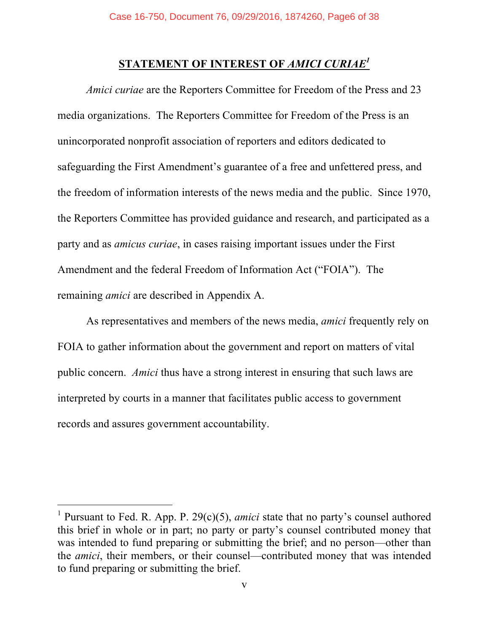# **STATEMENT OF INTEREST OF** *AMICI CURIAE1*

*Amici curiae* are the Reporters Committee for Freedom of the Press and 23 media organizations. The Reporters Committee for Freedom of the Press is an unincorporated nonprofit association of reporters and editors dedicated to safeguarding the First Amendment's guarantee of a free and unfettered press, and the freedom of information interests of the news media and the public. Since 1970, the Reporters Committee has provided guidance and research, and participated as a party and as *amicus curiae*, in cases raising important issues under the First Amendment and the federal Freedom of Information Act ("FOIA"). The remaining *amici* are described in Appendix A.

As representatives and members of the news media, *amici* frequently rely on FOIA to gather information about the government and report on matters of vital public concern. *Amici* thus have a strong interest in ensuring that such laws are interpreted by courts in a manner that facilitates public access to government records and assures government accountability.

 $\overline{a}$ 

<sup>&</sup>lt;sup>1</sup> Pursuant to Fed. R. App. P.  $29(c)(5)$ , *amici* state that no party's counsel authored this brief in whole or in part; no party or party's counsel contributed money that was intended to fund preparing or submitting the brief; and no person—other than the *amici*, their members, or their counsel—contributed money that was intended to fund preparing or submitting the brief.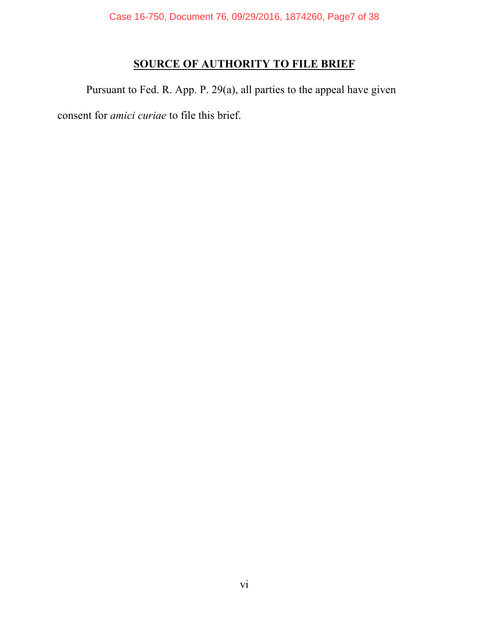Case 16-750, Document 76, 09/29/2016, 1874260, Page7 of 38

# **SOURCE OF AUTHORITY TO FILE BRIEF**

Pursuant to Fed. R. App. P. 29(a), all parties to the appeal have given consent for *amici curiae* to file this brief.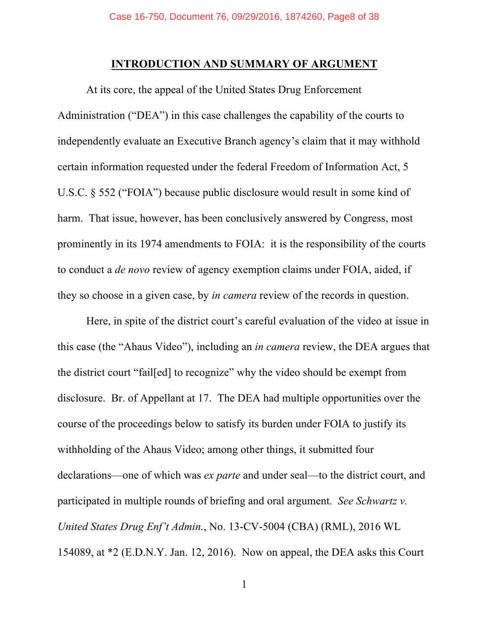#### **INTRODUCTION AND SUMMARY OF ARGUMENT**

At its core, the appeal of the United States Drug Enforcement Administration ("DEA") in this case challenges the capability of the courts to independently evaluate an Executive Branch agency's claim that it may withhold certain information requested under the federal Freedom of Information Act, 5 U.S.C. § 552 ("FOIA") because public disclosure would result in some kind of harm. That issue, however, has been conclusively answered by Congress, most prominently in its 1974 amendments to FOIA: it is the responsibility of the courts to conduct a *de novo* review of agency exemption claims under FOIA, aided, if they so choose in a given case, by *in camera* review of the records in question.

Here, in spite of the district court's careful evaluation of the video at issue in this case (the "Ahaus Video"), including an *in camera* review, the DEA argues that the district court "fail[ed] to recognize" why the video should be exempt from disclosure. Br. of Appellant at 17. The DEA had multiple opportunities over the course of the proceedings below to satisfy its burden under FOIA to justify its withholding of the Ahaus Video; among other things, it submitted four declarations—one of which was *ex parte* and under seal—to the district court, and participated in multiple rounds of briefing and oral argument. *See Schwartz v. United States Drug Enf't Admin.*, No. 13-CV-5004 (CBA) (RML), 2016 WL 154089, at \*2 (E.D.N.Y. Jan. 12, 2016). Now on appeal, the DEA asks this Court

1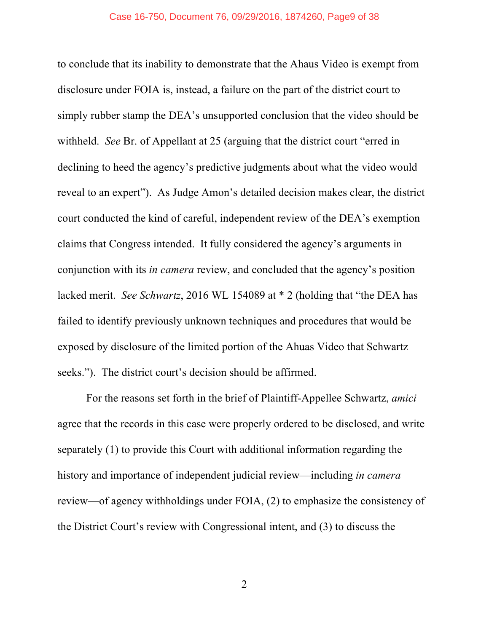to conclude that its inability to demonstrate that the Ahaus Video is exempt from disclosure under FOIA is, instead, a failure on the part of the district court to simply rubber stamp the DEA's unsupported conclusion that the video should be withheld. *See* Br. of Appellant at 25 (arguing that the district court "erred in declining to heed the agency's predictive judgments about what the video would reveal to an expert"). As Judge Amon's detailed decision makes clear, the district court conducted the kind of careful, independent review of the DEA's exemption claims that Congress intended. It fully considered the agency's arguments in conjunction with its *in camera* review, and concluded that the agency's position lacked merit. *See Schwartz*, 2016 WL 154089 at \* 2 (holding that "the DEA has failed to identify previously unknown techniques and procedures that would be exposed by disclosure of the limited portion of the Ahuas Video that Schwartz seeks."). The district court's decision should be affirmed.

For the reasons set forth in the brief of Plaintiff-Appellee Schwartz, *amici* agree that the records in this case were properly ordered to be disclosed, and write separately (1) to provide this Court with additional information regarding the history and importance of independent judicial review—including *in camera* review—of agency withholdings under FOIA, (2) to emphasize the consistency of the District Court's review with Congressional intent, and (3) to discuss the

2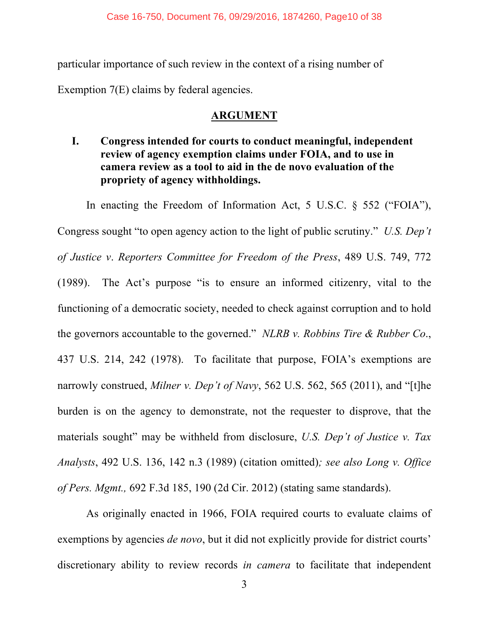particular importance of such review in the context of a rising number of

Exemption 7(E) claims by federal agencies.

### **ARGUMENT**

**I. Congress intended for courts to conduct meaningful, independent review of agency exemption claims under FOIA, and to use in camera review as a tool to aid in the de novo evaluation of the propriety of agency withholdings.** 

In enacting the Freedom of Information Act, 5 U.S.C. § 552 ("FOIA"), Congress sought "to open agency action to the light of public scrutiny." *U.S. Dep't of Justice v*. *Reporters Committee for Freedom of the Press*, 489 U.S. 749, 772 (1989). The Act's purpose "is to ensure an informed citizenry, vital to the functioning of a democratic society, needed to check against corruption and to hold the governors accountable to the governed." *NLRB v. Robbins Tire & Rubber Co*., 437 U.S. 214, 242 (1978). To facilitate that purpose, FOIA's exemptions are narrowly construed, *Milner v. Dep't of Navy*, 562 U.S. 562, 565 (2011), and "[t]he burden is on the agency to demonstrate, not the requester to disprove, that the materials sought" may be withheld from disclosure, *U.S. Dep't of Justice v. Tax Analysts*, 492 U.S. 136, 142 n.3 (1989) (citation omitted)*; see also Long v. Office of Pers. Mgmt.,* 692 F.3d 185, 190 (2d Cir. 2012) (stating same standards).

As originally enacted in 1966, FOIA required courts to evaluate claims of exemptions by agencies *de novo*, but it did not explicitly provide for district courts' discretionary ability to review records *in camera* to facilitate that independent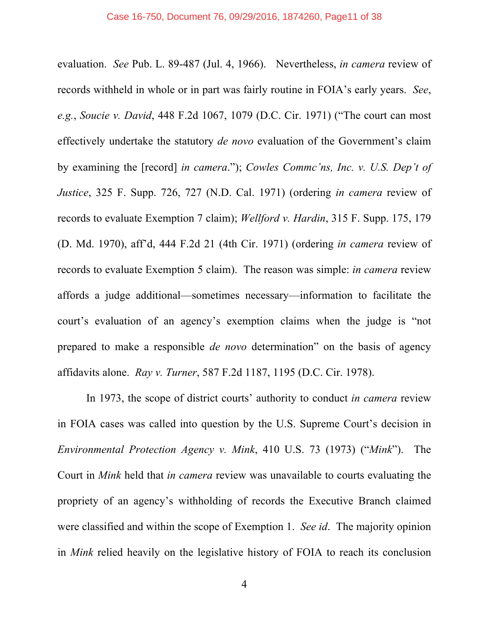evaluation. *See* Pub. L. 89-487 (Jul. 4, 1966). Nevertheless, *in camera* review of records withheld in whole or in part was fairly routine in FOIA's early years. *See*, *e.g.*, *Soucie v. David*, 448 F.2d 1067, 1079 (D.C. Cir. 1971) ("The court can most effectively undertake the statutory *de novo* evaluation of the Government's claim by examining the [record] *in camera*."); *Cowles Commc'ns, Inc. v. U.S. Dep't of Justice*, 325 F. Supp. 726, 727 (N.D. Cal. 1971) (ordering *in camera* review of records to evaluate Exemption 7 claim); *Wellford v. Hardin*, 315 F. Supp. 175, 179 (D. Md. 1970), aff'd, 444 F.2d 21 (4th Cir. 1971) (ordering *in camera* review of records to evaluate Exemption 5 claim). The reason was simple: *in camera* review affords a judge additional—sometimes necessary—information to facilitate the court's evaluation of an agency's exemption claims when the judge is "not prepared to make a responsible *de novo* determination" on the basis of agency affidavits alone. *Ray v. Turner*, 587 F.2d 1187, 1195 (D.C. Cir. 1978).

In 1973, the scope of district courts' authority to conduct *in camera* review in FOIA cases was called into question by the U.S. Supreme Court's decision in *Environmental Protection Agency v. Mink*, 410 U.S. 73 (1973) ("*Mink*"). The Court in *Mink* held that *in camera* review was unavailable to courts evaluating the propriety of an agency's withholding of records the Executive Branch claimed were classified and within the scope of Exemption 1. *See id*. The majority opinion in *Mink* relied heavily on the legislative history of FOIA to reach its conclusion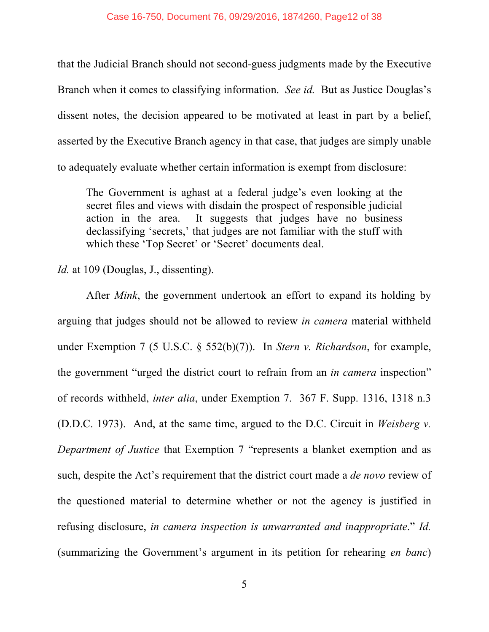that the Judicial Branch should not second-guess judgments made by the Executive Branch when it comes to classifying information. *See id.* But as Justice Douglas's dissent notes, the decision appeared to be motivated at least in part by a belief, asserted by the Executive Branch agency in that case, that judges are simply unable to adequately evaluate whether certain information is exempt from disclosure:

The Government is aghast at a federal judge's even looking at the secret files and views with disdain the prospect of responsible judicial action in the area. It suggests that judges have no business declassifying 'secrets,' that judges are not familiar with the stuff with which these 'Top Secret' or 'Secret' documents deal.

*Id.* at 109 (Douglas, J., dissenting).

After *Mink*, the government undertook an effort to expand its holding by arguing that judges should not be allowed to review *in camera* material withheld under Exemption 7 (5 U.S.C. § 552(b)(7)). In *Stern v. Richardson*, for example, the government "urged the district court to refrain from an *in camera* inspection" of records withheld, *inter alia*, under Exemption 7. 367 F. Supp. 1316, 1318 n.3 (D.D.C. 1973). And, at the same time, argued to the D.C. Circuit in *Weisberg v. Department of Justice* that Exemption 7 "represents a blanket exemption and as such, despite the Act's requirement that the district court made a *de novo* review of the questioned material to determine whether or not the agency is justified in refusing disclosure, *in camera inspection is unwarranted and inappropriate*." *Id.* (summarizing the Government's argument in its petition for rehearing *en banc*)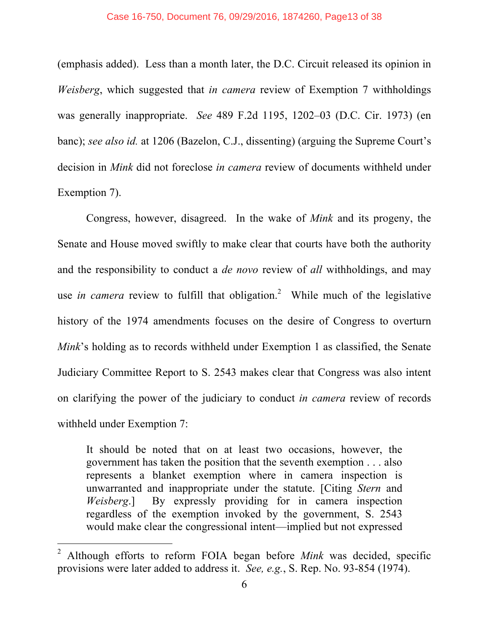#### Case 16-750, Document 76, 09/29/2016, 1874260, Page13 of 38

(emphasis added). Less than a month later, the D.C. Circuit released its opinion in *Weisberg*, which suggested that *in camera* review of Exemption 7 withholdings was generally inappropriate. *See* 489 F.2d 1195, 1202–03 (D.C. Cir. 1973) (en banc); *see also id.* at 1206 (Bazelon, C.J., dissenting) (arguing the Supreme Court's decision in *Mink* did not foreclose *in camera* review of documents withheld under Exemption 7).

Congress, however, disagreed. In the wake of *Mink* and its progeny, the Senate and House moved swiftly to make clear that courts have both the authority and the responsibility to conduct a *de novo* review of *all* withholdings, and may use *in camera* review to fulfill that obligation. 2 While much of the legislative history of the 1974 amendments focuses on the desire of Congress to overturn *Mink*'s holding as to records withheld under Exemption 1 as classified, the Senate Judiciary Committee Report to S. 2543 makes clear that Congress was also intent on clarifying the power of the judiciary to conduct *in camera* review of records withheld under Exemption 7:

It should be noted that on at least two occasions, however, the government has taken the position that the seventh exemption . . . also represents a blanket exemption where in camera inspection is unwarranted and inappropriate under the statute. [Citing *Stern* and *Weisberg*.] By expressly providing for in camera inspection regardless of the exemption invoked by the government, S. 2543 would make clear the congressional intent—implied but not expressed

 $\overline{a}$ 

<sup>2</sup> Although efforts to reform FOIA began before *Mink* was decided, specific provisions were later added to address it. *See, e.g.*, S. Rep. No. 93-854 (1974).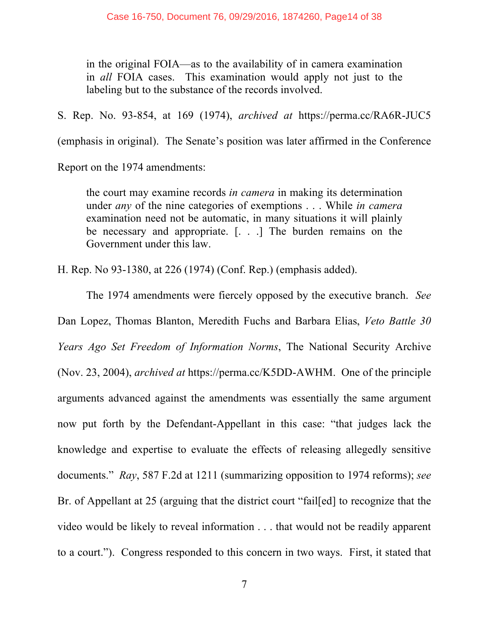in the original FOIA—as to the availability of in camera examination in *all* FOIA cases. This examination would apply not just to the labeling but to the substance of the records involved.

S. Rep. No. 93-854, at 169 (1974), *archived at* https://perma.cc/RA6R-JUC5

(emphasis in original). The Senate's position was later affirmed in the Conference

Report on the 1974 amendments:

the court may examine records *in camera* in making its determination under *any* of the nine categories of exemptions . . . While *in camera* examination need not be automatic, in many situations it will plainly be necessary and appropriate. [. . .] The burden remains on the Government under this law.

H. Rep. No 93-1380, at 226 (1974) (Conf. Rep.) (emphasis added).

The 1974 amendments were fiercely opposed by the executive branch. *See* Dan Lopez, Thomas Blanton, Meredith Fuchs and Barbara Elias, *Veto Battle 30 Years Ago Set Freedom of Information Norms*, The National Security Archive (Nov. 23, 2004), *archived at* https://perma.cc/K5DD-AWHM. One of the principle arguments advanced against the amendments was essentially the same argument now put forth by the Defendant-Appellant in this case: "that judges lack the knowledge and expertise to evaluate the effects of releasing allegedly sensitive documents." *Ray*, 587 F.2d at 1211 (summarizing opposition to 1974 reforms); *see*  Br. of Appellant at 25 (arguing that the district court "fail[ed] to recognize that the video would be likely to reveal information . . . that would not be readily apparent to a court."). Congress responded to this concern in two ways. First, it stated that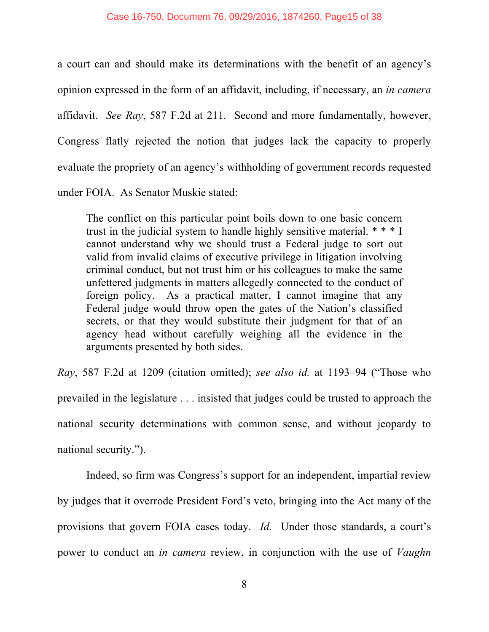a court can and should make its determinations with the benefit of an agency's opinion expressed in the form of an affidavit, including, if necessary, an *in camera* affidavit. *See Ray*, 587 F.2d at 211*.* Second and more fundamentally, however, Congress flatly rejected the notion that judges lack the capacity to properly evaluate the propriety of an agency's withholding of government records requested under FOIA. As Senator Muskie stated:

The conflict on this particular point boils down to one basic concern trust in the judicial system to handle highly sensitive material. \* \* \* I cannot understand why we should trust a Federal judge to sort out valid from invalid claims of executive privilege in litigation involving criminal conduct, but not trust him or his colleagues to make the same unfettered judgments in matters allegedly connected to the conduct of foreign policy. As a practical matter, I cannot imagine that any Federal judge would throw open the gates of the Nation's classified secrets, or that they would substitute their judgment for that of an agency head without carefully weighing all the evidence in the arguments presented by both sides.

*Ray*, 587 F.2d at 1209 (citation omitted); *see also id.* at 1193–94 ("Those who prevailed in the legislature . . . insisted that judges could be trusted to approach the national security determinations with common sense, and without jeopardy to national security.").

Indeed, so firm was Congress's support for an independent, impartial review by judges that it overrode President Ford's veto, bringing into the Act many of the provisions that govern FOIA cases today. *Id.* Under those standards, a court's power to conduct an *in camera* review, in conjunction with the use of *Vaughn*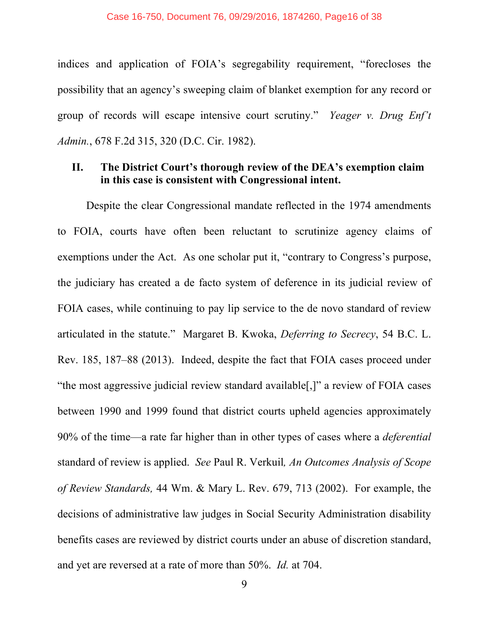indices and application of FOIA's segregability requirement, "forecloses the possibility that an agency's sweeping claim of blanket exemption for any record or group of records will escape intensive court scrutiny." *Yeager v. Drug Enf't Admin.*, 678 F.2d 315, 320 (D.C. Cir. 1982).

#### **II. The District Court's thorough review of the DEA's exemption claim in this case is consistent with Congressional intent.**

Despite the clear Congressional mandate reflected in the 1974 amendments to FOIA, courts have often been reluctant to scrutinize agency claims of exemptions under the Act. As one scholar put it, "contrary to Congress's purpose, the judiciary has created a de facto system of deference in its judicial review of FOIA cases, while continuing to pay lip service to the de novo standard of review articulated in the statute." Margaret B. Kwoka, *Deferring to Secrecy*, 54 B.C. L. Rev. 185, 187–88 (2013). Indeed, despite the fact that FOIA cases proceed under "the most aggressive judicial review standard available[,]" a review of FOIA cases between 1990 and 1999 found that district courts upheld agencies approximately 90% of the time—a rate far higher than in other types of cases where a *deferential* standard of review is applied. *See* Paul R. Verkuil*, An Outcomes Analysis of Scope of Review Standards,* 44 Wm. & Mary L. Rev. 679, 713 (2002). For example, the decisions of administrative law judges in Social Security Administration disability benefits cases are reviewed by district courts under an abuse of discretion standard, and yet are reversed at a rate of more than 50%. *Id.* at 704.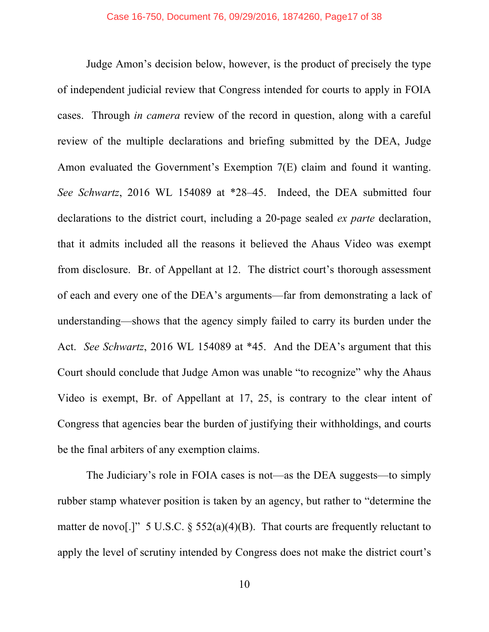Judge Amon's decision below, however, is the product of precisely the type of independent judicial review that Congress intended for courts to apply in FOIA cases. Through *in camera* review of the record in question, along with a careful review of the multiple declarations and briefing submitted by the DEA, Judge Amon evaluated the Government's Exemption 7(E) claim and found it wanting. *See Schwartz*, 2016 WL 154089 at \*28–45. Indeed, the DEA submitted four declarations to the district court, including a 20-page sealed *ex parte* declaration, that it admits included all the reasons it believed the Ahaus Video was exempt from disclosure. Br. of Appellant at 12. The district court's thorough assessment of each and every one of the DEA's arguments—far from demonstrating a lack of understanding—shows that the agency simply failed to carry its burden under the Act. *See Schwartz*, 2016 WL 154089 at \*45. And the DEA's argument that this Court should conclude that Judge Amon was unable "to recognize" why the Ahaus Video is exempt, Br. of Appellant at 17, 25, is contrary to the clear intent of Congress that agencies bear the burden of justifying their withholdings, and courts be the final arbiters of any exemption claims.

The Judiciary's role in FOIA cases is not—as the DEA suggests—to simply rubber stamp whatever position is taken by an agency, but rather to "determine the matter de novo[.]" 5 U.S.C.  $\frac{552(a)(4)(B)}{B}$ . That courts are frequently reluctant to apply the level of scrutiny intended by Congress does not make the district court's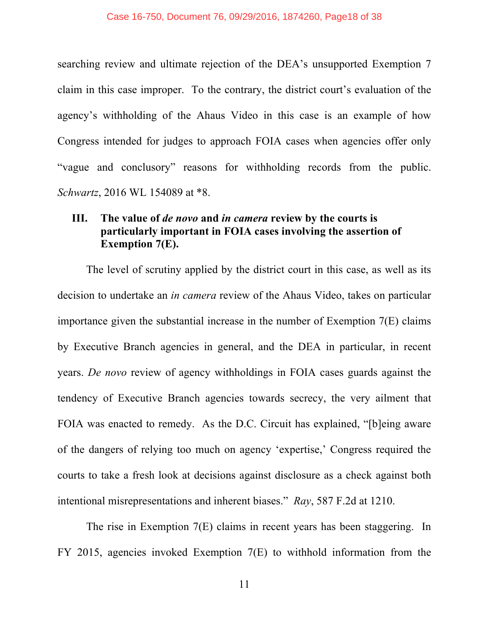searching review and ultimate rejection of the DEA's unsupported Exemption 7 claim in this case improper. To the contrary, the district court's evaluation of the agency's withholding of the Ahaus Video in this case is an example of how Congress intended for judges to approach FOIA cases when agencies offer only "vague and conclusory" reasons for withholding records from the public. *Schwartz*, 2016 WL 154089 at \*8.

#### **III. The value of** *de novo* **and** *in camera* **review by the courts is particularly important in FOIA cases involving the assertion of Exemption 7(E).**

The level of scrutiny applied by the district court in this case, as well as its decision to undertake an *in camera* review of the Ahaus Video, takes on particular importance given the substantial increase in the number of Exemption 7(E) claims by Executive Branch agencies in general, and the DEA in particular, in recent years. *De novo* review of agency withholdings in FOIA cases guards against the tendency of Executive Branch agencies towards secrecy, the very ailment that FOIA was enacted to remedy. As the D.C. Circuit has explained, "[b]eing aware of the dangers of relying too much on agency 'expertise,' Congress required the courts to take a fresh look at decisions against disclosure as a check against both intentional misrepresentations and inherent biases." *Ray*, 587 F.2d at 1210.

The rise in Exemption 7(E) claims in recent years has been staggering. In FY 2015, agencies invoked Exemption 7(E) to withhold information from the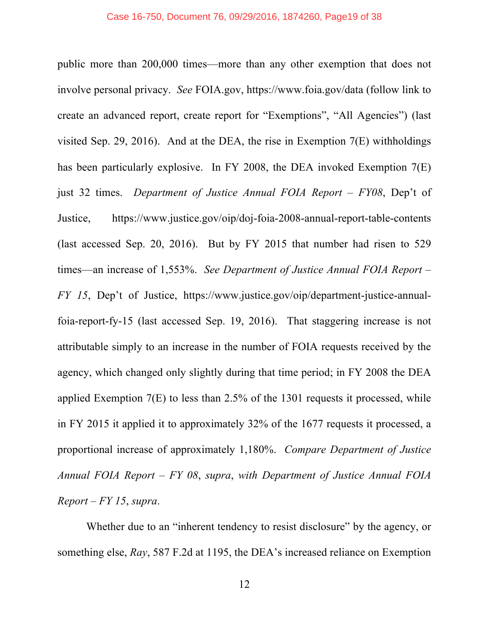public more than 200,000 times—more than any other exemption that does not involve personal privacy. *See* FOIA.gov, https://www.foia.gov/data (follow link to create an advanced report, create report for "Exemptions", "All Agencies") (last visited Sep. 29, 2016). And at the DEA, the rise in Exemption 7(E) withholdings has been particularly explosive. In FY 2008, the DEA invoked Exemption 7(E) just 32 times. *Department of Justice Annual FOIA Report – FY08*, Dep't of Justice, https://www.justice.gov/oip/doj-foia-2008-annual-report-table-contents (last accessed Sep. 20, 2016). But by FY 2015 that number had risen to 529 times—an increase of 1,553%. *See Department of Justice Annual FOIA Report – FY 15*, Dep't of Justice, https://www.justice.gov/oip/department-justice-annualfoia-report-fy-15 (last accessed Sep. 19, 2016). That staggering increase is not attributable simply to an increase in the number of FOIA requests received by the agency, which changed only slightly during that time period; in FY 2008 the DEA applied Exemption 7(E) to less than 2.5% of the 1301 requests it processed, while in FY 2015 it applied it to approximately 32% of the 1677 requests it processed, a proportional increase of approximately 1,180%. *Compare Department of Justice Annual FOIA Report – FY 08*, *supra*, *with Department of Justice Annual FOIA Report – FY 15*, *supra*.

Whether due to an "inherent tendency to resist disclosure" by the agency, or something else, *Ray*, 587 F.2d at 1195, the DEA's increased reliance on Exemption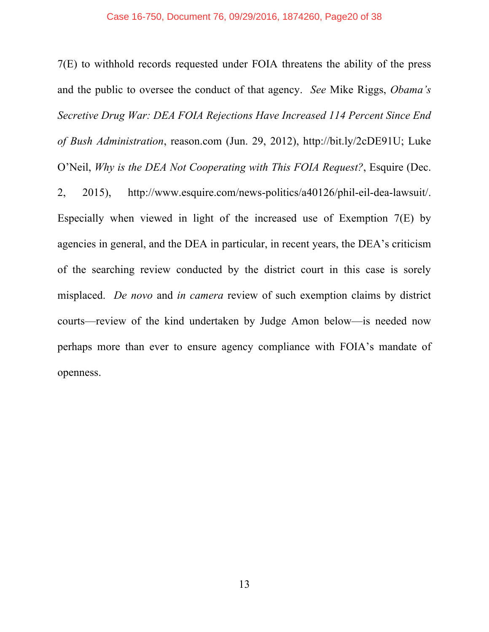#### Case 16-750, Document 76, 09/29/2016, 1874260, Page20 of 38

7(E) to withhold records requested under FOIA threatens the ability of the press and the public to oversee the conduct of that agency. *See* Mike Riggs, *Obama's Secretive Drug War: DEA FOIA Rejections Have Increased 114 Percent Since End of Bush Administration*, reason.com (Jun. 29, 2012), http://bit.ly/2cDE91U; Luke O'Neil, *Why is the DEA Not Cooperating with This FOIA Request?*, Esquire (Dec. 2, 2015), http://www.esquire.com/news-politics/a40126/phil-eil-dea-lawsuit/. Especially when viewed in light of the increased use of Exemption 7(E) by agencies in general, and the DEA in particular, in recent years, the DEA's criticism of the searching review conducted by the district court in this case is sorely misplaced. *De novo* and *in camera* review of such exemption claims by district courts—review of the kind undertaken by Judge Amon below—is needed now perhaps more than ever to ensure agency compliance with FOIA's mandate of openness.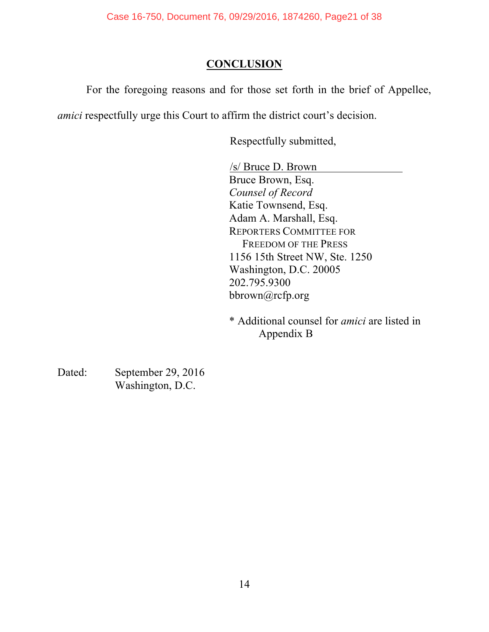## **CONCLUSION**

For the foregoing reasons and for those set forth in the brief of Appellee,

*amici* respectfully urge this Court to affirm the district court's decision.

Respectfully submitted,

/s/ Bruce D. Brown Bruce Brown, Esq. *Counsel of Record* Katie Townsend, Esq. Adam A. Marshall, Esq. REPORTERS COMMITTEE FOR FREEDOM OF THE PRESS 1156 15th Street NW, Ste. 1250 Washington, D.C. 20005 202.795.9300 bbrown@rcfp.org

\* Additional counsel for *amici* are listed in Appendix B

Dated: September 29, 2016 Washington, D.C.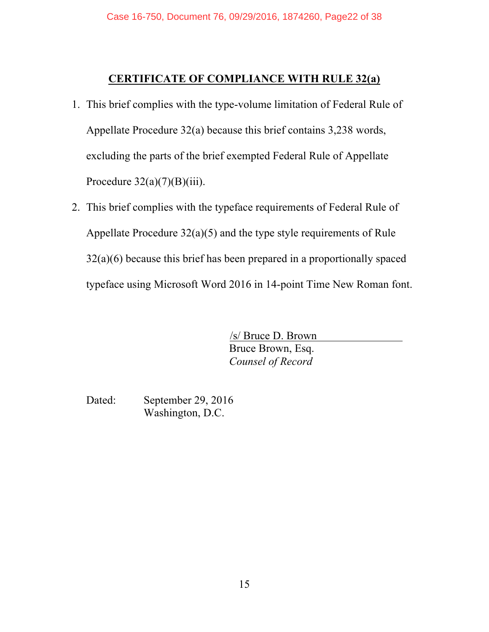#### **CERTIFICATE OF COMPLIANCE WITH RULE 32(a)**

- 1. This brief complies with the type-volume limitation of Federal Rule of Appellate Procedure 32(a) because this brief contains 3,238 words, excluding the parts of the brief exempted Federal Rule of Appellate Procedure  $32(a)(7)(B)(iii)$ .
- 2. This brief complies with the typeface requirements of Federal Rule of Appellate Procedure 32(a)(5) and the type style requirements of Rule 32(a)(6) because this brief has been prepared in a proportionally spaced typeface using Microsoft Word 2016 in 14-point Time New Roman font.

/s/ Bruce D. Brown Bruce Brown, Esq. *Counsel of Record*

Dated: September 29, 2016 Washington, D.C.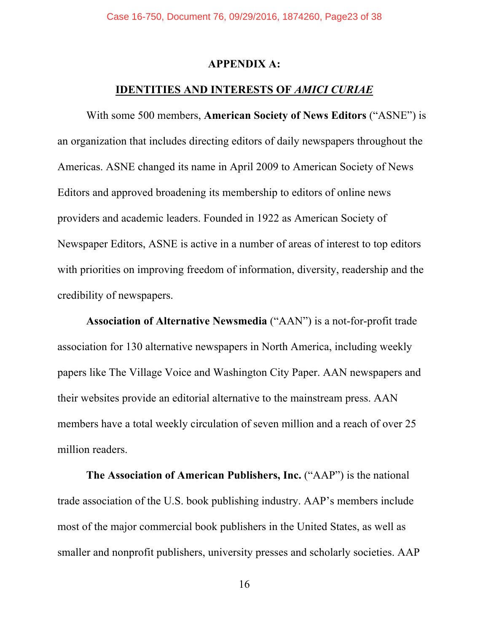#### **APPENDIX A:**

#### **IDENTITIES AND INTERESTS OF** *AMICI CURIAE*

With some 500 members, **American Society of News Editors** ("ASNE") is an organization that includes directing editors of daily newspapers throughout the Americas. ASNE changed its name in April 2009 to American Society of News Editors and approved broadening its membership to editors of online news providers and academic leaders. Founded in 1922 as American Society of Newspaper Editors, ASNE is active in a number of areas of interest to top editors with priorities on improving freedom of information, diversity, readership and the credibility of newspapers.

**Association of Alternative Newsmedia** ("AAN") is a not-for-profit trade association for 130 alternative newspapers in North America, including weekly papers like The Village Voice and Washington City Paper. AAN newspapers and their websites provide an editorial alternative to the mainstream press. AAN members have a total weekly circulation of seven million and a reach of over 25 million readers.

**The Association of American Publishers, Inc.** ("AAP") is the national trade association of the U.S. book publishing industry. AAP's members include most of the major commercial book publishers in the United States, as well as smaller and nonprofit publishers, university presses and scholarly societies. AAP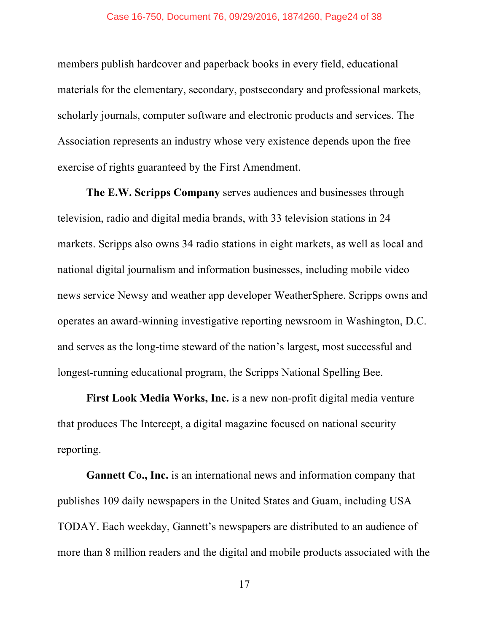members publish hardcover and paperback books in every field, educational materials for the elementary, secondary, postsecondary and professional markets, scholarly journals, computer software and electronic products and services. The Association represents an industry whose very existence depends upon the free exercise of rights guaranteed by the First Amendment.

**The E.W. Scripps Company** serves audiences and businesses through television, radio and digital media brands, with 33 television stations in 24 markets. Scripps also owns 34 radio stations in eight markets, as well as local and national digital journalism and information businesses, including mobile video news service Newsy and weather app developer WeatherSphere. Scripps owns and operates an award-winning investigative reporting newsroom in Washington, D.C. and serves as the long-time steward of the nation's largest, most successful and longest-running educational program, the Scripps National Spelling Bee.

**First Look Media Works, Inc.** is a new non-profit digital media venture that produces The Intercept, a digital magazine focused on national security reporting.

**Gannett Co., Inc.** is an international news and information company that publishes 109 daily newspapers in the United States and Guam, including USA TODAY. Each weekday, Gannett's newspapers are distributed to an audience of more than 8 million readers and the digital and mobile products associated with the

17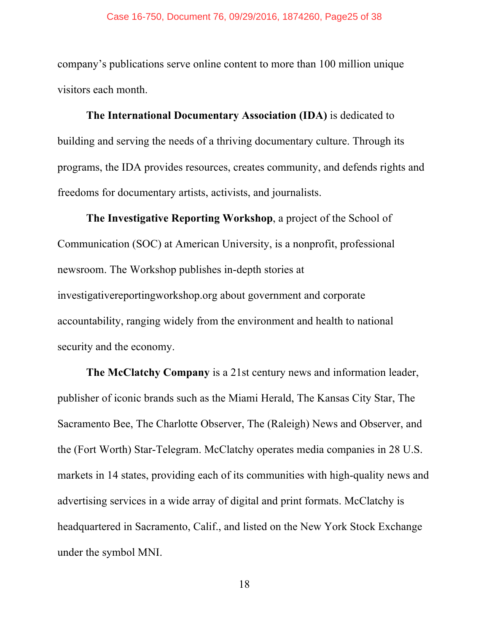#### Case 16-750, Document 76, 09/29/2016, 1874260, Page25 of 38

company's publications serve online content to more than 100 million unique visitors each month.

**The International Documentary Association (IDA)** is dedicated to building and serving the needs of a thriving documentary culture. Through its programs, the IDA provides resources, creates community, and defends rights and freedoms for documentary artists, activists, and journalists.

**The Investigative Reporting Workshop**, a project of the School of Communication (SOC) at American University, is a nonprofit, professional newsroom. The Workshop publishes in-depth stories at investigativereportingworkshop.org about government and corporate accountability, ranging widely from the environment and health to national security and the economy.

**The McClatchy Company** is a 21st century news and information leader, publisher of iconic brands such as the Miami Herald, The Kansas City Star, The Sacramento Bee, The Charlotte Observer, The (Raleigh) News and Observer, and the (Fort Worth) Star-Telegram. McClatchy operates media companies in 28 U.S. markets in 14 states, providing each of its communities with high-quality news and advertising services in a wide array of digital and print formats. McClatchy is headquartered in Sacramento, Calif., and listed on the New York Stock Exchange under the symbol MNI.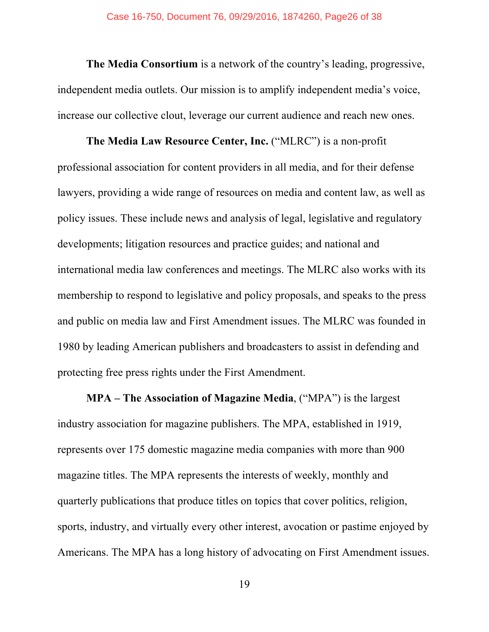**The Media Consortium** is a network of the country's leading, progressive, independent media outlets. Our mission is to amplify independent media's voice, increase our collective clout, leverage our current audience and reach new ones.

**The Media Law Resource Center, Inc.** ("MLRC") is a non-profit professional association for content providers in all media, and for their defense lawyers, providing a wide range of resources on media and content law, as well as policy issues. These include news and analysis of legal, legislative and regulatory developments; litigation resources and practice guides; and national and international media law conferences and meetings. The MLRC also works with its membership to respond to legislative and policy proposals, and speaks to the press and public on media law and First Amendment issues. The MLRC was founded in 1980 by leading American publishers and broadcasters to assist in defending and protecting free press rights under the First Amendment.

**MPA – The Association of Magazine Media**, ("MPA") is the largest industry association for magazine publishers. The MPA, established in 1919, represents over 175 domestic magazine media companies with more than 900 magazine titles. The MPA represents the interests of weekly, monthly and quarterly publications that produce titles on topics that cover politics, religion, sports, industry, and virtually every other interest, avocation or pastime enjoyed by Americans. The MPA has a long history of advocating on First Amendment issues.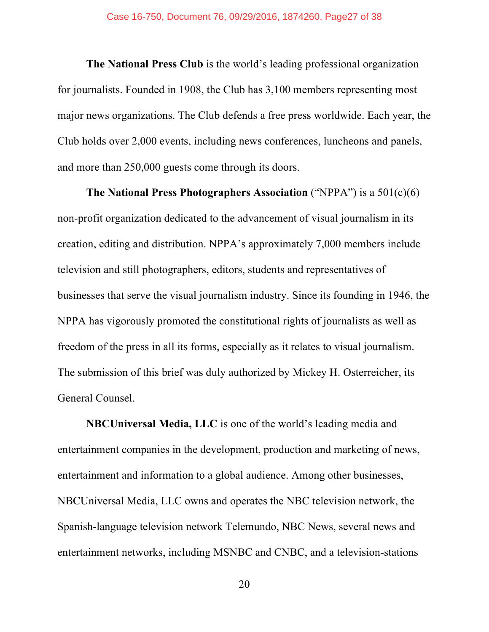**The National Press Club** is the world's leading professional organization for journalists. Founded in 1908, the Club has 3,100 members representing most major news organizations. The Club defends a free press worldwide. Each year, the Club holds over 2,000 events, including news conferences, luncheons and panels, and more than 250,000 guests come through its doors.

**The National Press Photographers Association** ("NPPA") is a 501(c)(6) non-profit organization dedicated to the advancement of visual journalism in its creation, editing and distribution. NPPA's approximately 7,000 members include television and still photographers, editors, students and representatives of businesses that serve the visual journalism industry. Since its founding in 1946, the NPPA has vigorously promoted the constitutional rights of journalists as well as freedom of the press in all its forms, especially as it relates to visual journalism. The submission of this brief was duly authorized by Mickey H. Osterreicher, its General Counsel.

**NBCUniversal Media, LLC** is one of the world's leading media and entertainment companies in the development, production and marketing of news, entertainment and information to a global audience. Among other businesses, NBCUniversal Media, LLC owns and operates the NBC television network, the Spanish-language television network Telemundo, NBC News, several news and entertainment networks, including MSNBC and CNBC, and a television-stations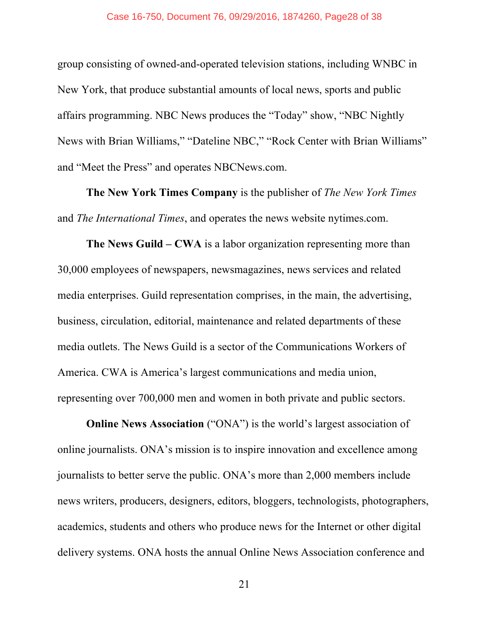group consisting of owned-and-operated television stations, including WNBC in New York, that produce substantial amounts of local news, sports and public affairs programming. NBC News produces the "Today" show, "NBC Nightly News with Brian Williams," "Dateline NBC," "Rock Center with Brian Williams" and "Meet the Press" and operates NBCNews.com.

**The New York Times Company** is the publisher of *The New York Times* and *The International Times*, and operates the news website nytimes.com.

**The News Guild – CWA** is a labor organization representing more than 30,000 employees of newspapers, newsmagazines, news services and related media enterprises. Guild representation comprises, in the main, the advertising, business, circulation, editorial, maintenance and related departments of these media outlets. The News Guild is a sector of the Communications Workers of America. CWA is America's largest communications and media union, representing over 700,000 men and women in both private and public sectors.

**Online News Association** ("ONA") is the world's largest association of online journalists. ONA's mission is to inspire innovation and excellence among journalists to better serve the public. ONA's more than 2,000 members include news writers, producers, designers, editors, bloggers, technologists, photographers, academics, students and others who produce news for the Internet or other digital delivery systems. ONA hosts the annual Online News Association conference and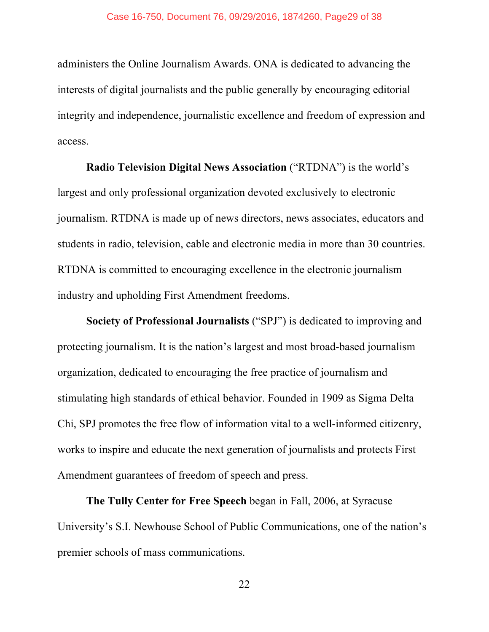administers the Online Journalism Awards. ONA is dedicated to advancing the interests of digital journalists and the public generally by encouraging editorial integrity and independence, journalistic excellence and freedom of expression and access.

**Radio Television Digital News Association** ("RTDNA") is the world's largest and only professional organization devoted exclusively to electronic journalism. RTDNA is made up of news directors, news associates, educators and students in radio, television, cable and electronic media in more than 30 countries.

RTDNA is committed to encouraging excellence in the electronic journalism industry and upholding First Amendment freedoms.

**Society of Professional Journalists** ("SPJ") is dedicated to improving and protecting journalism. It is the nation's largest and most broad-based journalism organization, dedicated to encouraging the free practice of journalism and stimulating high standards of ethical behavior. Founded in 1909 as Sigma Delta Chi, SPJ promotes the free flow of information vital to a well-informed citizenry, works to inspire and educate the next generation of journalists and protects First Amendment guarantees of freedom of speech and press.

**The Tully Center for Free Speech** began in Fall, 2006, at Syracuse University's S.I. Newhouse School of Public Communications, one of the nation's premier schools of mass communications.

22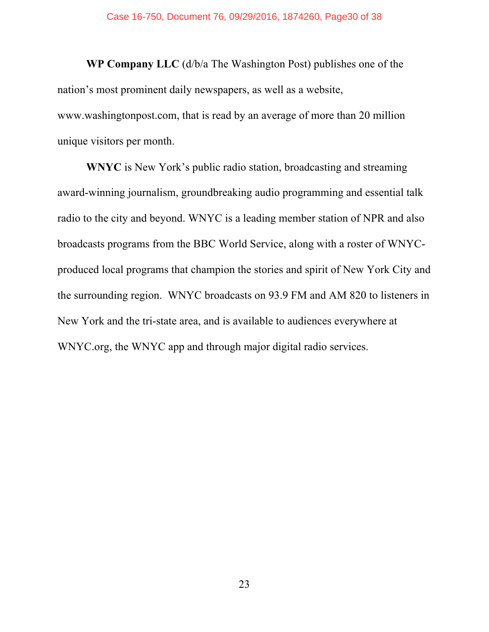**WP Company LLC** (d/b/a The Washington Post) publishes one of the nation's most prominent daily newspapers, as well as a website, www.washingtonpost.com, that is read by an average of more than 20 million unique visitors per month.

**WNYC** is New York's public radio station, broadcasting and streaming award-winning journalism, groundbreaking audio programming and essential talk radio to the city and beyond. WNYC is a leading member station of NPR and also broadcasts programs from the BBC World Service, along with a roster of WNYCproduced local programs that champion the stories and spirit of New York City and the surrounding region. WNYC broadcasts on 93.9 FM and AM 820 to listeners in New York and the tri-state area, and is available to audiences everywhere at WNYC.org, the WNYC app and through major digital radio services.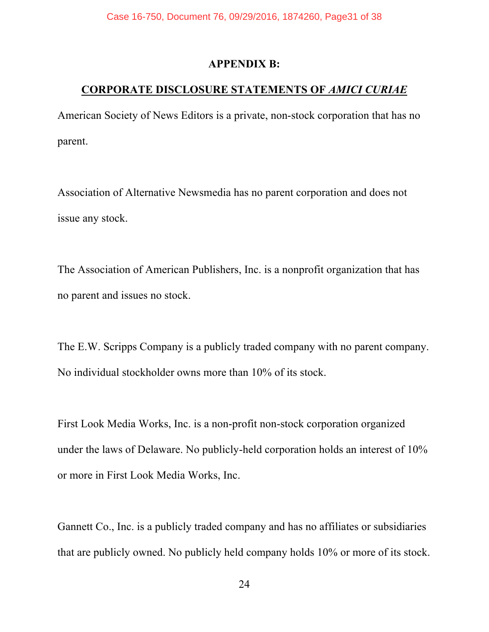#### **APPENDIX B:**

## **CORPORATE DISCLOSURE STATEMENTS OF** *AMICI CURIAE*

American Society of News Editors is a private, non-stock corporation that has no parent.

Association of Alternative Newsmedia has no parent corporation and does not issue any stock.

The Association of American Publishers, Inc. is a nonprofit organization that has no parent and issues no stock.

The E.W. Scripps Company is a publicly traded company with no parent company. No individual stockholder owns more than 10% of its stock.

First Look Media Works, Inc. is a non-profit non-stock corporation organized under the laws of Delaware. No publicly-held corporation holds an interest of 10% or more in First Look Media Works, Inc.

Gannett Co., Inc. is a publicly traded company and has no affiliates or subsidiaries that are publicly owned. No publicly held company holds 10% or more of its stock.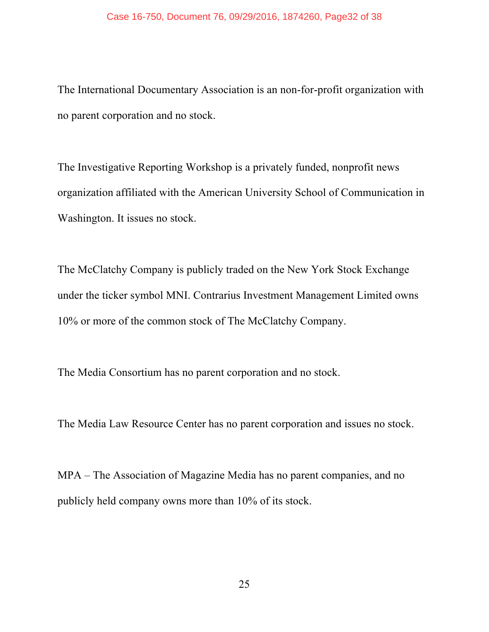#### Case 16-750, Document 76, 09/29/2016, 1874260, Page32 of 38

The International Documentary Association is an non-for-profit organization with no parent corporation and no stock.

The Investigative Reporting Workshop is a privately funded, nonprofit news organization affiliated with the American University School of Communication in Washington. It issues no stock.

The McClatchy Company is publicly traded on the New York Stock Exchange under the ticker symbol MNI. Contrarius Investment Management Limited owns 10% or more of the common stock of The McClatchy Company.

The Media Consortium has no parent corporation and no stock.

The Media Law Resource Center has no parent corporation and issues no stock.

MPA – The Association of Magazine Media has no parent companies, and no publicly held company owns more than 10% of its stock.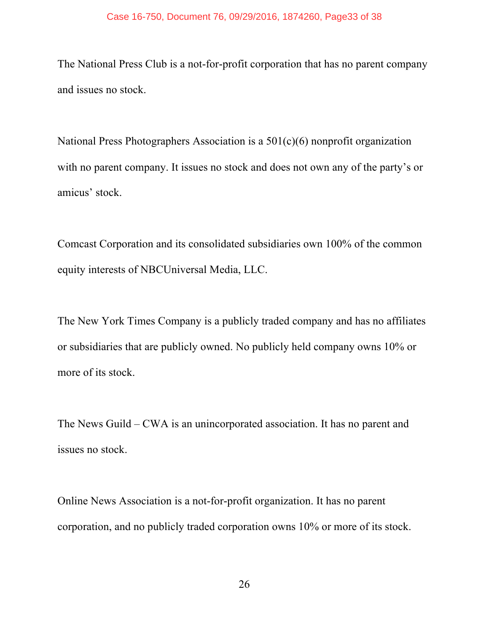The National Press Club is a not-for-profit corporation that has no parent company and issues no stock.

National Press Photographers Association is a 501(c)(6) nonprofit organization with no parent company. It issues no stock and does not own any of the party's or amicus' stock.

Comcast Corporation and its consolidated subsidiaries own 100% of the common equity interests of NBCUniversal Media, LLC.

The New York Times Company is a publicly traded company and has no affiliates or subsidiaries that are publicly owned. No publicly held company owns 10% or more of its stock.

The News Guild – CWA is an unincorporated association. It has no parent and issues no stock.

Online News Association is a not-for-profit organization. It has no parent corporation, and no publicly traded corporation owns 10% or more of its stock.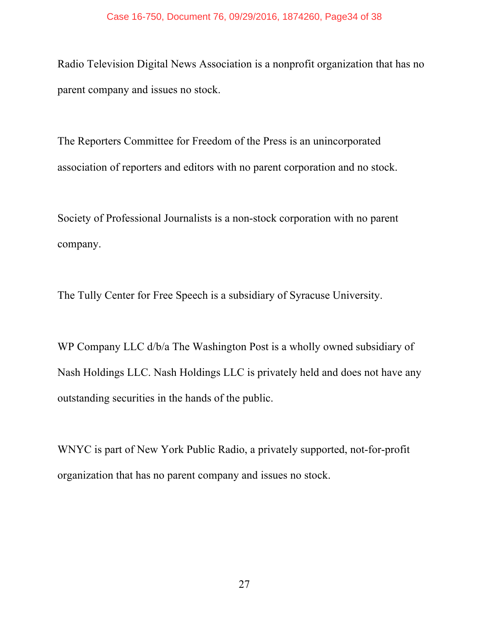Radio Television Digital News Association is a nonprofit organization that has no parent company and issues no stock.

The Reporters Committee for Freedom of the Press is an unincorporated association of reporters and editors with no parent corporation and no stock.

Society of Professional Journalists is a non-stock corporation with no parent company.

The Tully Center for Free Speech is a subsidiary of Syracuse University.

WP Company LLC d/b/a The Washington Post is a wholly owned subsidiary of Nash Holdings LLC. Nash Holdings LLC is privately held and does not have any outstanding securities in the hands of the public.

WNYC is part of New York Public Radio, a privately supported, not-for-profit organization that has no parent company and issues no stock.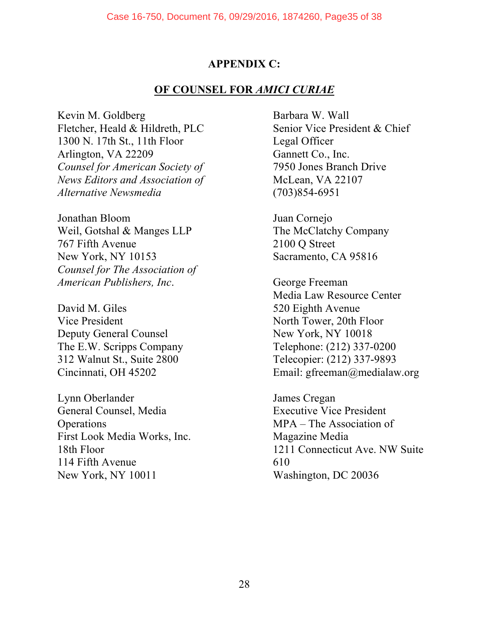#### **APPENDIX C:**

#### **OF COUNSEL FOR** *AMICI CURIAE*

Kevin M. Goldberg Fletcher, Heald & Hildreth, PLC 1300 N. 17th St., 11th Floor Arlington, VA 22209 *Counsel for American Society of News Editors and Association of Alternative Newsmedia*

Jonathan Bloom Weil, Gotshal & Manges LLP 767 Fifth Avenue New York, NY 10153 *Counsel for The Association of American Publishers, Inc*.

David M. Giles Vice President Deputy General Counsel The E.W. Scripps Company 312 Walnut St., Suite 2800 Cincinnati, OH 45202

Lynn Oberlander General Counsel, Media **Operations** First Look Media Works, Inc. 18th Floor 114 Fifth Avenue New York, NY 10011

Barbara W. Wall Senior Vice President & Chief Legal Officer Gannett Co., Inc. 7950 Jones Branch Drive McLean, VA 22107 (703)854-6951

Juan Cornejo The McClatchy Company 2100 Q Street Sacramento, CA 95816

George Freeman Media Law Resource Center 520 Eighth Avenue North Tower, 20th Floor New York, NY 10018 Telephone: (212) 337-0200 Telecopier: (212) 337-9893 Email: gfreeman@medialaw.org

James Cregan Executive Vice President MPA – The Association of Magazine Media 1211 Connecticut Ave. NW Suite 610 Washington, DC 20036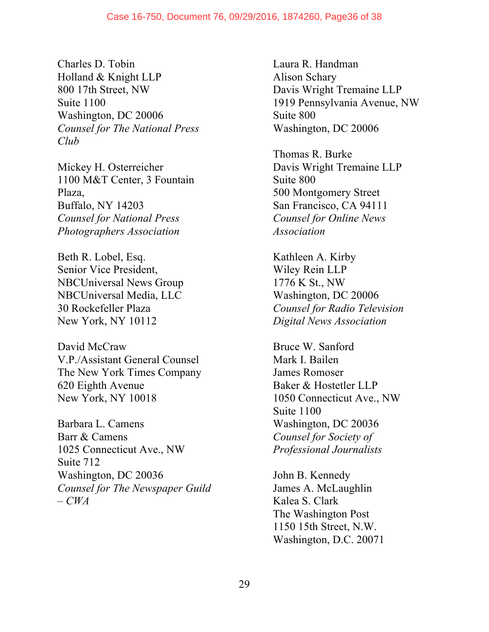#### Case 16-750, Document 76, 09/29/2016, 1874260, Page36 of 38

Charles D. Tobin Holland & Knight LLP 800 17th Street, NW Suite 1100 Washington, DC 20006 *Counsel for The National Press Club*

Mickey H. Osterreicher 1100 M&T Center, 3 Fountain Plaza, Buffalo, NY 14203 *Counsel for National Press Photographers Association*

Beth R. Lobel, Esq. Senior Vice President, NBCUniversal News Group NBCUniversal Media, LLC 30 Rockefeller Plaza New York, NY 10112

David McCraw V.P./Assistant General Counsel The New York Times Company 620 Eighth Avenue New York, NY 10018

Barbara L. Camens Barr & Camens 1025 Connecticut Ave., NW Suite 712 Washington, DC 20036 *Counsel for The Newspaper Guild – CWA*

Laura R. Handman Alison Schary Davis Wright Tremaine LLP 1919 Pennsylvania Avenue, NW Suite 800 Washington, DC 20006

Thomas R. Burke Davis Wright Tremaine LLP Suite 800 500 Montgomery Street San Francisco, CA 94111 *Counsel for Online News Association*

Kathleen A. Kirby Wiley Rein LLP 1776 K St., NW Washington, DC 20006 *Counsel for Radio Television Digital News Association*

Bruce W. Sanford Mark I. Bailen James Romoser Baker & Hostetler LLP 1050 Connecticut Ave., NW Suite 1100 Washington, DC 20036 *Counsel for Society of Professional Journalists*

John B. Kennedy James A. McLaughlin Kalea S. Clark The Washington Post 1150 15th Street, N.W. Washington, D.C. 20071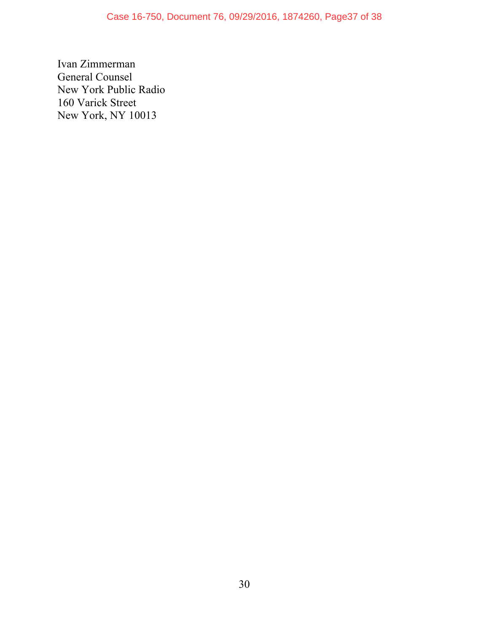Ivan Zimmerman General Counsel New York Public Radio 160 Varick Street New York, NY 10013